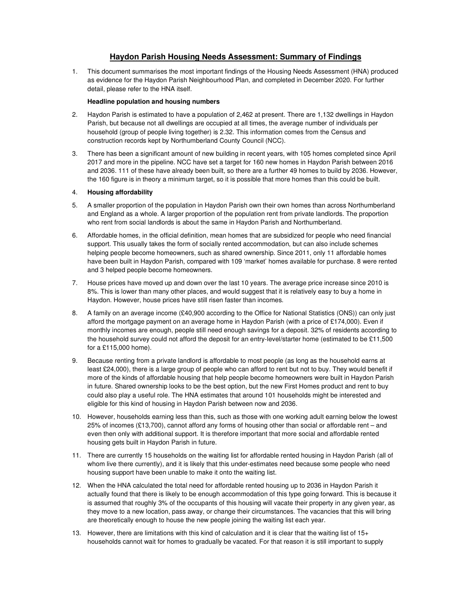## **Haydon Parish Housing Needs Assessment: Summary of Findings**

1. This document summarises the most important findings of the Housing Needs Assessment (HNA) produced as evidence for the Haydon Parish Neighbourhood Plan, and completed in December 2020. For further detail, please refer to the HNA itself.

## **Headline population and housing numbers**

- 2. Haydon Parish is estimated to have a population of 2,462 at present. There are 1,132 dwellings in Haydon Parish, but because not all dwellings are occupied at all times, the average number of individuals per household (group of people living together) is 2.32. This information comes from the Census and construction records kept by Northumberland County Council (NCC).
- 3. There has been a significant amount of new building in recent years, with 105 homes completed since April 2017 and more in the pipeline. NCC have set a target for 160 new homes in Haydon Parish between 2016 and 2036. 111 of these have already been built, so there are a further 49 homes to build by 2036. However, the 160 figure is in theory a minimum target, so it is possible that more homes than this could be built.

## 4. **Housing affordability**

- 5. A smaller proportion of the population in Haydon Parish own their own homes than across Northumberland and England as a whole. A larger proportion of the population rent from private landlords. The proportion who rent from social landlords is about the same in Haydon Parish and Northumberland.
- 6. Affordable homes, in the official definition, mean homes that are subsidized for people who need financial support. This usually takes the form of socially rented accommodation, but can also include schemes helping people become homeowners, such as shared ownership. Since 2011, only 11 affordable homes have been built in Haydon Parish, compared with 109 'market' homes available for purchase. 8 were rented and 3 helped people become homeowners.
- 7. House prices have moved up and down over the last 10 years. The average price increase since 2010 is 8%. This is lower than many other places, and would suggest that it is relatively easy to buy a home in Haydon. However, house prices have still risen faster than incomes.
- 8. A family on an average income (£40,900 according to the Office for National Statistics (ONS)) can only just afford the mortgage payment on an average home in Haydon Parish (with a price of £174,000). Even if monthly incomes are enough, people still need enough savings for a deposit. 32% of residents according to the household survey could not afford the deposit for an entry-level/starter home (estimated to be £11,500 for a £115,000 home).
- 9. Because renting from a private landlord is affordable to most people (as long as the household earns at least £24,000), there is a large group of people who can afford to rent but not to buy. They would benefit if more of the kinds of affordable housing that help people become homeowners were built in Haydon Parish in future. Shared ownership looks to be the best option, but the new First Homes product and rent to buy could also play a useful role. The HNA estimates that around 101 households might be interested and eligible for this kind of housing in Haydon Parish between now and 2036.
- 10. However, households earning less than this, such as those with one working adult earning below the lowest 25% of incomes (£13,700), cannot afford any forms of housing other than social or affordable rent – and even then only with additional support. It is therefore important that more social and affordable rented housing gets built in Haydon Parish in future.
- 11. There are currently 15 households on the waiting list for affordable rented housing in Haydon Parish (all of whom live there currently), and it is likely that this under-estimates need because some people who need housing support have been unable to make it onto the waiting list.
- 12. When the HNA calculated the total need for affordable rented housing up to 2036 in Haydon Parish it actually found that there is likely to be enough accommodation of this type going forward. This is because it is assumed that roughly 3% of the occupants of this housing will vacate their property in any given year, as they move to a new location, pass away, or change their circumstances. The vacancies that this will bring are theoretically enough to house the new people joining the waiting list each year.
- 13. However, there are limitations with this kind of calculation and it is clear that the waiting list of 15+ households cannot wait for homes to gradually be vacated. For that reason it is still important to supply